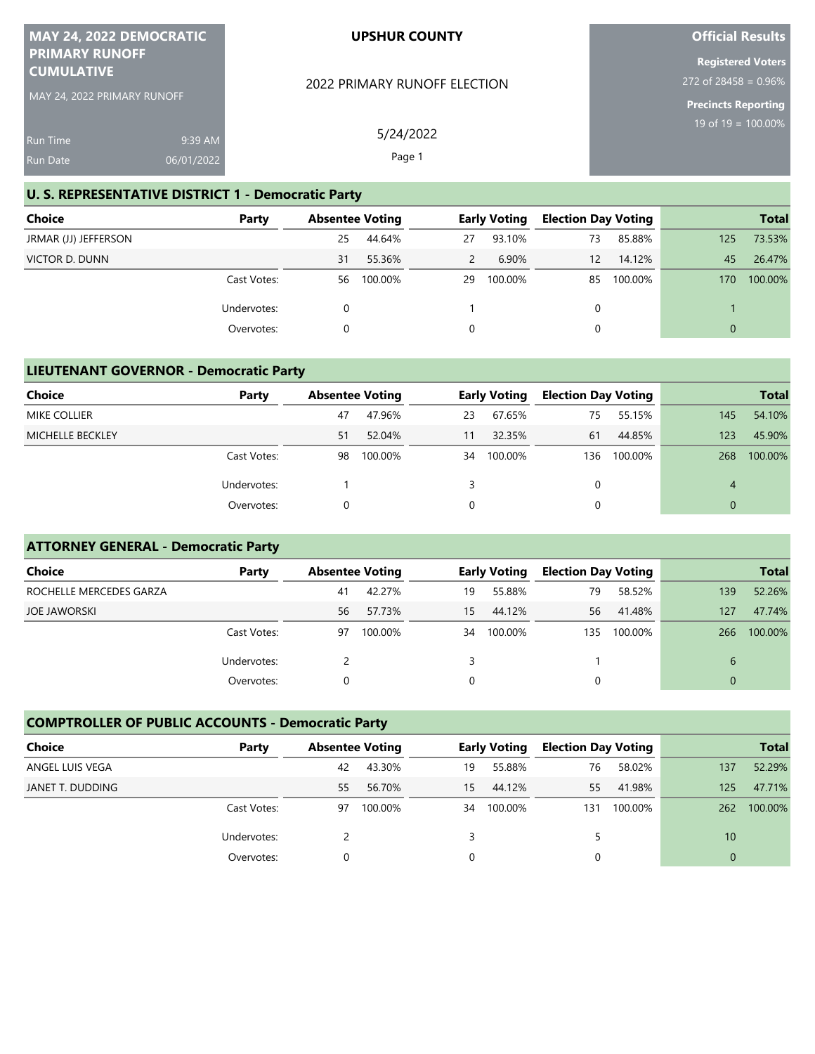| MAY 24, 2022 DEMOCRATIC     | <b>UPSHUR COUNTY</b>         |
|-----------------------------|------------------------------|
| <b>PRIMARY RUNOFF</b>       |                              |
| <b><i>CUMULATIVE</i></b>    |                              |
| MAY 24, 2022 PRIMARY RUNOFF | 2022 PRIMARY RUNOFF ELECTION |

# **Official Results**

**Registered Voters** 272 of 28458 = 0.96%

**Precincts Reporting** 19 of 19 = 100.00%

| <b>Run Time</b> | $9:39$ AM  |
|-----------------|------------|
| <b>Run Date</b> | 06/01/2022 |

#### **U. S. REPRESENTATIVE DISTRICT 1 - Democratic Party**

| Choice               | Party       | <b>Absentee Voting</b> |         | <b>Early Voting</b> |         | <b>Election Day Voting</b> |         |     | <b>Total</b> |
|----------------------|-------------|------------------------|---------|---------------------|---------|----------------------------|---------|-----|--------------|
| JRMAR (JJ) JEFFERSON |             | 25                     | 44.64%  | 27                  | 93.10%  | 73                         | 85.88%  | 125 | 73.53%       |
| VICTOR D. DUNN       |             | 31                     | 55.36%  | $\overline{2}$      | 6.90%   | 12                         | 14.12%  | 45  | 26.47%       |
|                      | Cast Votes: | 56                     | 100.00% | 29                  | 100.00% | 85                         | 100.00% | 170 | 100.00%      |
|                      | Undervotes: |                        |         |                     |         | 0                          |         |     |              |
|                      | Overvotes:  |                        |         | 0                   |         |                            |         |     |              |

5/24/2022 Page 1

#### **LIEUTENANT GOVERNOR - Democratic Party**

| <b>Choice</b>       | Party       | <b>Absentee Voting</b> |         | <b>Early Voting</b> |         | <b>Election Day Voting</b> |         |     | <b>Total</b> |
|---------------------|-------------|------------------------|---------|---------------------|---------|----------------------------|---------|-----|--------------|
| <b>MIKE COLLIER</b> |             | 47                     | 47.96%  | 23                  | 67.65%  | 75                         | 55.15%  | 145 | 54.10%       |
| MICHELLE BECKLEY    |             | 51                     | 52.04%  | 11                  | 32.35%  | 61                         | 44.85%  | 123 | 45.90%       |
|                     | Cast Votes: | 98                     | 100.00% | 34                  | 100.00% | 136                        | 100.00% | 268 | 100.00%      |
|                     | Undervotes: |                        |         |                     |         | 0                          |         | 4   |              |
|                     | Overvotes:  |                        |         |                     |         |                            |         |     |              |

## **ATTORNEY GENERAL - Democratic Party**

| <b>Choice</b>           | Party       | <b>Absentee Voting</b> |         |    | <b>Early Voting</b> |     | <b>Election Day Voting</b> |     | <b>Total</b> |
|-------------------------|-------------|------------------------|---------|----|---------------------|-----|----------------------------|-----|--------------|
| ROCHELLE MERCEDES GARZA |             | 41                     | 42.27%  | 19 | 55.88%              | 79  | 58.52%                     | 139 | 52.26%       |
| <b>JOE JAWORSKI</b>     |             | 56                     | 57.73%  | 15 | 44.12%              | 56  | 41.48%                     | 127 | 47.74%       |
|                         | Cast Votes: | 97                     | 100.00% | 34 | 100.00%             | 135 | 100.00%                    | 266 | 100.00%      |
|                         | Undervotes: |                        |         | 3  |                     |     |                            | 6   |              |
|                         | Overvotes:  |                        |         | 0  |                     | 0   |                            | 0   |              |

### **COMPTROLLER OF PUBLIC ACCOUNTS - Democratic Party**

| Choice           | Party       | <b>Absentee Voting</b> |         | <b>Early Voting</b> |         | <b>Election Day Voting</b> |         |          | <b>Total</b> |
|------------------|-------------|------------------------|---------|---------------------|---------|----------------------------|---------|----------|--------------|
| ANGEL LUIS VEGA  |             | 42                     | 43.30%  | 19                  | 55.88%  | 76                         | 58.02%  | 137      | 52.29%       |
| JANET T. DUDDING |             | 55                     | 56.70%  | 15                  | 44.12%  | 55                         | 41.98%  | 125      | 47.71%       |
|                  | Cast Votes: | 97                     | 100.00% | 34                  | 100.00% | 131                        | 100.00% | 262      | 100.00%      |
|                  | Undervotes: |                        |         |                     |         |                            |         | 10       |              |
|                  | Overvotes:  |                        |         |                     |         |                            |         | $\Omega$ |              |